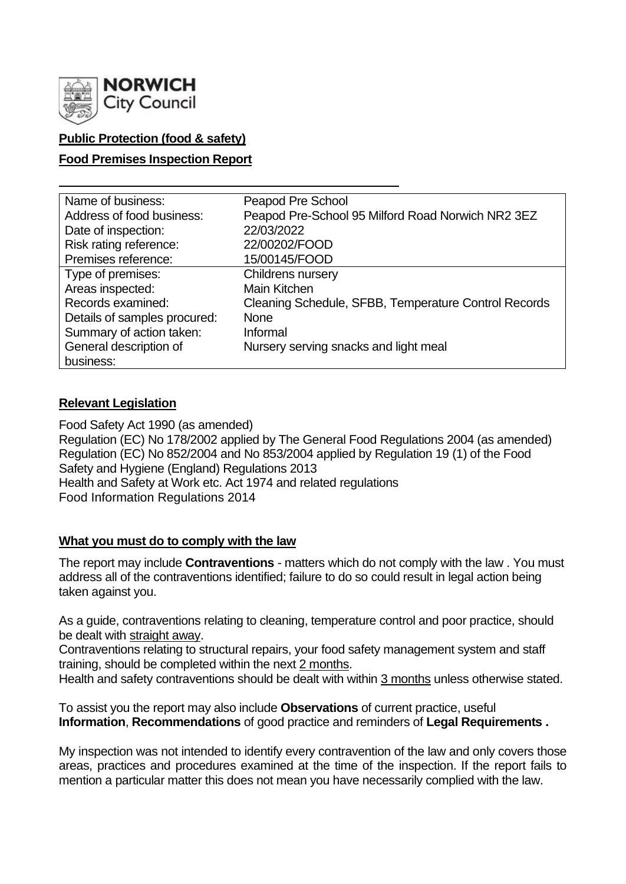

## **Public Protection (food & safety)**

## **Food Premises Inspection Report**

| Name of business:            | Peapod Pre School                                    |
|------------------------------|------------------------------------------------------|
| Address of food business:    | Peapod Pre-School 95 Milford Road Norwich NR2 3EZ    |
| Date of inspection:          | 22/03/2022                                           |
| Risk rating reference:       | 22/00202/FOOD                                        |
| Premises reference:          | 15/00145/FOOD                                        |
| Type of premises:            | Childrens nursery                                    |
| Areas inspected:             | Main Kitchen                                         |
| Records examined:            | Cleaning Schedule, SFBB, Temperature Control Records |
| Details of samples procured: | <b>None</b>                                          |
| Summary of action taken:     | Informal                                             |
| General description of       | Nursery serving snacks and light meal                |
| business:                    |                                                      |

## **Relevant Legislation**

Food Safety Act 1990 (as amended) Regulation (EC) No 178/2002 applied by The General Food Regulations 2004 (as amended) Regulation (EC) No 852/2004 and No 853/2004 applied by Regulation 19 (1) of the Food Safety and Hygiene (England) Regulations 2013 Health and Safety at Work etc. Act 1974 and related regulations Food Information Regulations 2014

## **What you must do to comply with the law**

The report may include **Contraventions** - matters which do not comply with the law . You must address all of the contraventions identified; failure to do so could result in legal action being taken against you.

As a guide, contraventions relating to cleaning, temperature control and poor practice, should be dealt with straight away.

Contraventions relating to structural repairs, your food safety management system and staff training, should be completed within the next 2 months.

Health and safety contraventions should be dealt with within 3 months unless otherwise stated.

To assist you the report may also include **Observations** of current practice, useful **Information**, **Recommendations** of good practice and reminders of **Legal Requirements .**

My inspection was not intended to identify every contravention of the law and only covers those areas, practices and procedures examined at the time of the inspection. If the report fails to mention a particular matter this does not mean you have necessarily complied with the law.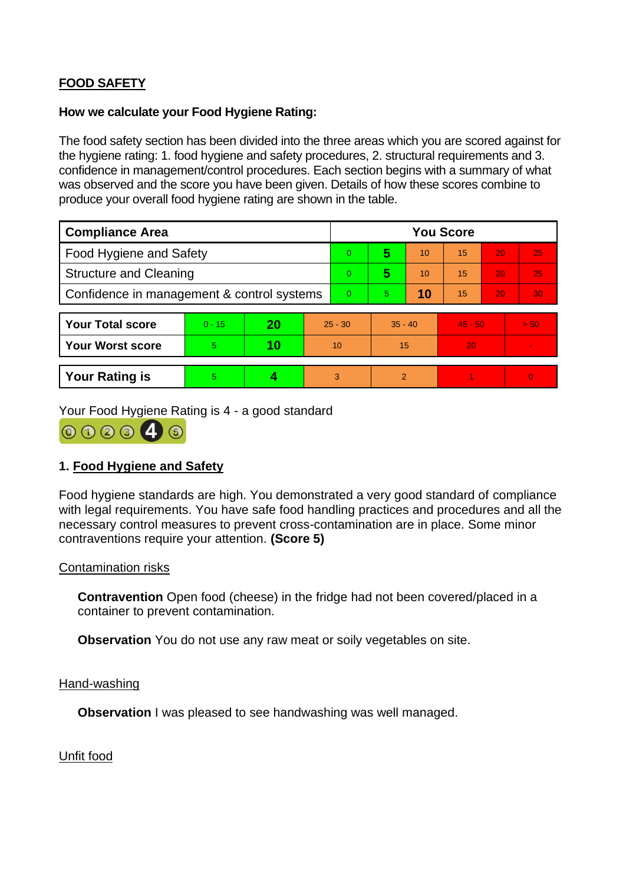# **FOOD SAFETY**

### **How we calculate your Food Hygiene Rating:**

The food safety section has been divided into the three areas which you are scored against for the hygiene rating: 1. food hygiene and safety procedures, 2. structural requirements and 3. confidence in management/control procedures. Each section begins with a summary of what was observed and the score you have been given. Details of how these scores combine to produce your overall food hygiene rating are shown in the table.

| <b>Compliance Area</b>                     |          |    |           | <b>You Score</b> |               |    |           |    |      |  |  |
|--------------------------------------------|----------|----|-----------|------------------|---------------|----|-----------|----|------|--|--|
| <b>Food Hygiene and Safety</b>             |          |    |           | 0                | 5             | 10 | 15        | 20 | 25   |  |  |
| <b>Structure and Cleaning</b>              |          |    |           | $\overline{0}$   | 5             | 10 | 15        | 20 | 25   |  |  |
| Confidence in management & control systems |          |    |           | $\overline{0}$   | 5.            | 10 | 15        | 20 | 30   |  |  |
|                                            |          |    |           |                  |               |    |           |    |      |  |  |
| <b>Your Total score</b>                    | $0 - 15$ | 20 | $25 - 30$ |                  | $35 - 40$     |    | $45 - 50$ |    | > 50 |  |  |
| <b>Your Worst score</b>                    | 5        | 10 | 10        |                  | 15            |    | 20        |    |      |  |  |
|                                            |          |    |           |                  |               |    |           |    |      |  |  |
| <b>Your Rating is</b>                      | 5        |    |           | 3                | $\mathcal{P}$ |    |           |    |      |  |  |

Your Food Hygiene Rating is 4 - a good standard



## **1. Food Hygiene and Safety**

Food hygiene standards are high. You demonstrated a very good standard of compliance with legal requirements. You have safe food handling practices and procedures and all the necessary control measures to prevent cross-contamination are in place. Some minor contraventions require your attention. **(Score 5)**

## Contamination risks

**Contravention** Open food (cheese) in the fridge had not been covered/placed in a container to prevent contamination.

**Observation** You do not use any raw meat or soily vegetables on site.

#### Hand-washing

**Observation I** was pleased to see handwashing was well managed.

Unfit food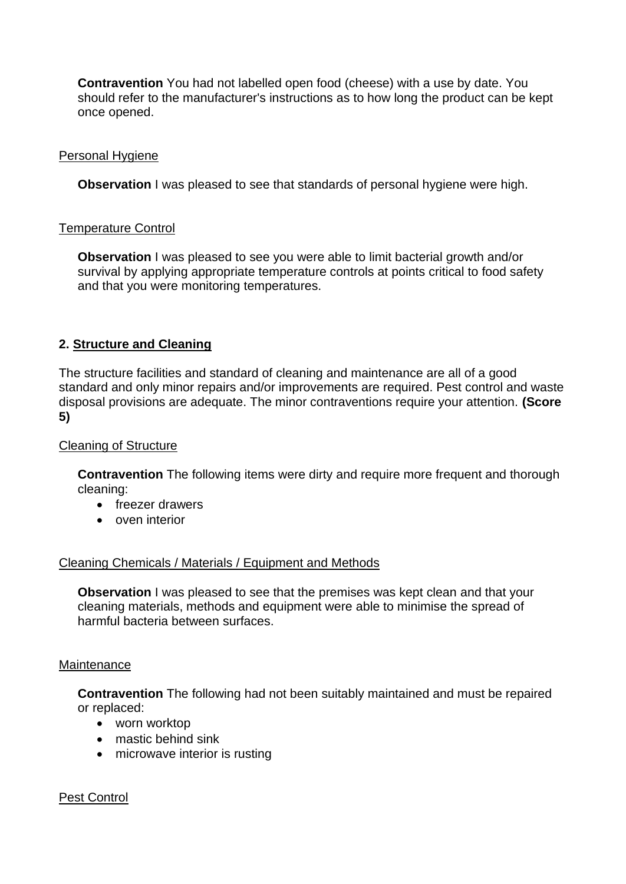**Contravention** You had not labelled open food (cheese) with a use by date. You should refer to the manufacturer's instructions as to how long the product can be kept once opened.

## Personal Hygiene

**Observation** I was pleased to see that standards of personal hygiene were high.

## Temperature Control

**Observation** I was pleased to see you were able to limit bacterial growth and/or survival by applying appropriate temperature controls at points critical to food safety and that you were monitoring temperatures.

## **2. Structure and Cleaning**

The structure facilities and standard of cleaning and maintenance are all of a good standard and only minor repairs and/or improvements are required. Pest control and waste disposal provisions are adequate. The minor contraventions require your attention. **(Score 5)**

## Cleaning of Structure

**Contravention** The following items were dirty and require more frequent and thorough cleaning:

- freezer drawers
- oven interior

## Cleaning Chemicals / Materials / Equipment and Methods

**Observation** I was pleased to see that the premises was kept clean and that your cleaning materials, methods and equipment were able to minimise the spread of harmful bacteria between surfaces.

#### **Maintenance**

**Contravention** The following had not been suitably maintained and must be repaired or replaced:

- worn worktop
- mastic behind sink
- microwave interior is rusting

## Pest Control